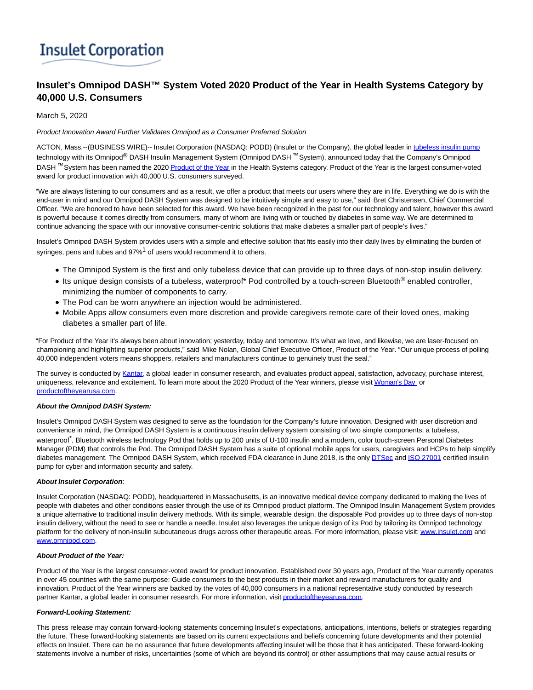# **Insulet Corporation**

# **Insulet's Omnipod DASH™ System Voted 2020 Product of the Year in Health Systems Category by 40,000 U.S. Consumers**

March 5, 2020

#### Product Innovation Award Further Validates Omnipod as a Consumer Preferred Solution

ACTON, Mass.--(BUSINESS WIRE)-- Insulet Corporation (NASDAQ: PODD) (Insulet or the Company), the global leader i[n tubeless insulin pump](https://cts.businesswire.com/ct/CT?id=smartlink&url=https%3A%2F%2Fwww.myomnipod.com%2FDASH&esheet=52183163&newsitemid=20200305005044&lan=en-US&anchor=tubeless+insulin+pump&index=1&md5=4e853637b5090f11803db1870ab2ed17) technology with its Omnipod<sup>®</sup> DASH Insulin Management System (Omnipod DASH<sup>™</sup> System), announced today that the Company's Omnipod DASH<sup>™</sup> System has been named the 202[0 Product of the Year i](https://cts.businesswire.com/ct/CT?id=smartlink&url=https%3A%2F%2Fwww.productoftheyearusa.com&esheet=52183163&newsitemid=20200305005044&lan=en-US&anchor=Product+of+the+Year&index=2&md5=d27d488c5818a0a16a8a2e2c7aa550ca)n the Health Systems category. Product of the Year is the largest consumer-voted award for product innovation with 40,000 U.S. consumers surveyed.

"We are always listening to our consumers and as a result, we offer a product that meets our users where they are in life. Everything we do is with the end-user in mind and our Omnipod DASH System was designed to be intuitively simple and easy to use," said Bret Christensen, Chief Commercial Officer. "We are honored to have been selected for this award. We have been recognized in the past for our technology and talent, however this award is powerful because it comes directly from consumers, many of whom are living with or touched by diabetes in some way. We are determined to continue advancing the space with our innovative consumer-centric solutions that make diabetes a smaller part of people's lives."

Insulet's Omnipod DASH System provides users with a simple and effective solution that fits easily into their daily lives by eliminating the burden of syringes, pens and tubes and 97%<sup>1</sup> of users would recommend it to others.

- The Omnipod System is the first and only tubeless device that can provide up to three days of non-stop insulin delivery.
- Its unique design consists of a tubeless, waterproof\* Pod controlled by a touch-screen Bluetooth® enabled controller, minimizing the number of components to carry.
- The Pod can be worn anywhere an injection would be administered.
- Mobile Apps allow consumers even more discretion and provide caregivers remote care of their loved ones, making diabetes a smaller part of life.

"For Product of the Year it's always been about innovation; yesterday, today and tomorrow. It's what we love, and likewise, we are laser-focused on championing and highlighting superior products," said Mike Nolan, Global Chief Executive Officer, Product of the Year. "Our unique process of polling 40,000 independent voters means shoppers, retailers and manufacturers continue to genuinely trust the seal."

The survey is conducted b[y Kantar,](https://cts.businesswire.com/ct/CT?id=smartlink&url=http%3A%2F%2Fwww.tnsglobal.com%2Fwho-we-are&esheet=52183163&newsitemid=20200305005044&lan=en-US&anchor=Kantar&index=3&md5=d8d4b4714da7fc0909cb2f6b19a88165) a global leader in consumer research, and evaluates product appeal, satisfaction, advocacy, purchase interest, uniqueness, relevance and excitement. To learn more about the 2020 Product of the Year winners, please visi[t Woman's Day o](https://cts.businesswire.com/ct/CT?id=smartlink&url=https%3A%2F%2Fwww.womansday.com%2Flife%2Fa30517486%2Fproduct-of-the-year-2020-winners%2F&esheet=52183163&newsitemid=20200305005044&lan=en-US&anchor=Woman%26%238217%3Bs+Day&index=4&md5=6f86299a7771aed8e6148a4b4f7f1e49)r [productoftheyearusa.com.](https://cts.businesswire.com/ct/CT?id=smartlink&url=http%3A%2F%2Fwww.productoftheyearusa.com%2F&esheet=52183163&newsitemid=20200305005044&lan=en-US&anchor=productoftheyearusa.com&index=5&md5=3aa231c3a93e01ccd2746f648e00f7e0)

## **About the Omnipod DASH System:**

Insulet's Omnipod DASH System was designed to serve as the foundation for the Company's future innovation. Designed with user discretion and convenience in mind, the Omnipod DASH System is a continuous insulin delivery system consisting of two simple components: a tubeless, waterproof\* , Bluetooth wireless technology Pod that holds up to 200 units of U-100 insulin and a modern, color touch-screen Personal Diabetes Manager (PDM) that controls the Pod. The Omnipod DASH System has a suite of optional mobile apps for users, caregivers and HCPs to help simplify diabetes management. The Omnipod DASH System, which received FDA clearance in June 2018, is the only **DTSec and ISO 27001** certified insulin pump for cyber and information security and safety.

## **About Insulet Corporation**:

Insulet Corporation (NASDAQ: PODD), headquartered in Massachusetts, is an innovative medical device company dedicated to making the lives of people with diabetes and other conditions easier through the use of its Omnipod product platform. The Omnipod Insulin Management System provides a unique alternative to traditional insulin delivery methods. With its simple, wearable design, the disposable Pod provides up to three days of non-stop insulin delivery, without the need to see or handle a needle. Insulet also leverages the unique design of its Pod by tailoring its Omnipod technology platform for the delivery of non-insulin subcutaneous drugs across other therapeutic areas. For more information, please visit[: www.insulet.com a](https://cts.businesswire.com/ct/CT?id=smartlink&url=http%3A%2F%2Fwww.insulet.com&esheet=52183163&newsitemid=20200305005044&lan=en-US&anchor=www.insulet.com&index=8&md5=fc8f25cab8d0aded6327c2f07e568aa8)nd [www.omnipod.com.](https://cts.businesswire.com/ct/CT?id=smartlink&url=http%3A%2F%2Fwww.omnipod.com&esheet=52183163&newsitemid=20200305005044&lan=en-US&anchor=www.omnipod.com&index=9&md5=b518c4fb7eaf78c650b210918cd37089)

#### **About Product of the Year:**

Product of the Year is the largest consumer-voted award for product innovation. Established over 30 years ago, Product of the Year currently operates in over 45 countries with the same purpose: Guide consumers to the best products in their market and reward manufacturers for quality and innovation. Product of the Year winners are backed by the votes of 40,000 consumers in a national representative study conducted by research partner Kantar, a global leader in consumer research. For more information, visi[t productoftheyearusa.com.](https://cts.businesswire.com/ct/CT?id=smartlink&url=http%3A%2F%2Fwww.productoftheyearusa.com%2F&esheet=52183163&newsitemid=20200305005044&lan=en-US&anchor=productoftheyearusa.com&index=10&md5=f368727a7892b75d17bb61d3ba6a52ac)

# **Forward-Looking Statement:**

This press release may contain forward-looking statements concerning Insulet's expectations, anticipations, intentions, beliefs or strategies regarding the future. These forward-looking statements are based on its current expectations and beliefs concerning future developments and their potential effects on Insulet. There can be no assurance that future developments affecting Insulet will be those that it has anticipated. These forward-looking statements involve a number of risks, uncertainties (some of which are beyond its control) or other assumptions that may cause actual results or